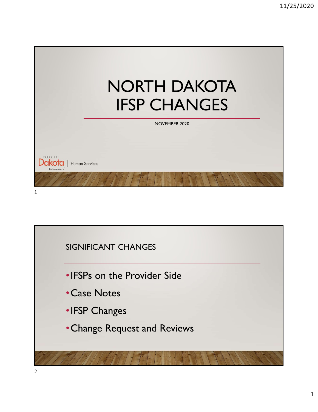

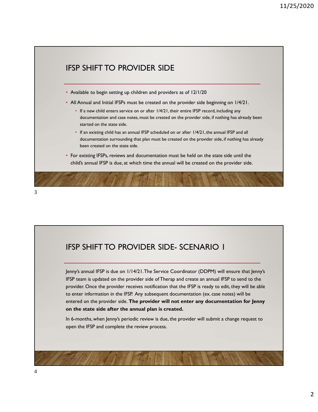

Jenny's annual IFSP is due on 1/14/21. The Service Coordinator (DDPM) will ensure that Jenny's IFSP team is updated on the provider side of Therap and create an annual IFSP to send to the provider. Once the provider receives notification that the IFSP is ready to edit, they will be able to enter information in the IFSP. Any subsequent documentation (ex. case notes) will be entered on the provider side. The provider will not enter any documentation for Jenny on the state side after the annual plan is created.

In 6-months, when Jenny's periodic review is due, the provider will submit a change request to open the IFSP and complete the review process.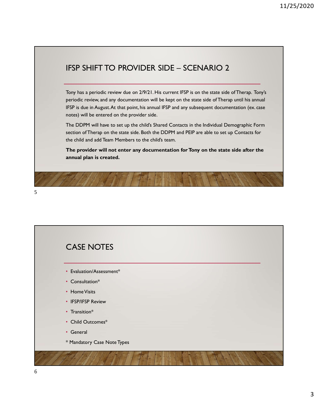11/25/2020<br>IFSP SHIFT TO PROVIDER SIDE – SCENARIO 2<br>Tony has a periodic review due on 2/9/21. His current IFSP is on the state side of Therap. Tony's<br>periodic review, and any documentation will be kept on the state side of Tony has a periodic review due on 2/9/21. His current IFSP is on the state side of Therap. Tony's periodic review, and any documentation will be kept on the state side of Therap until his annual IFSP is due in August. At that point, his annual IFSP and any subsequent documentation (ex. case notes) will be entered on the provider side.

The DDPM will have to set up the child's Shared Contacts in the Individual Demographic Form section of Therap on the state side. Both the DDPM and PEIP are able to set up Contacts for the child and add Team Members to the child's team.

The provider will not enter any documentation for Tony on the state side after the annual plan is created.

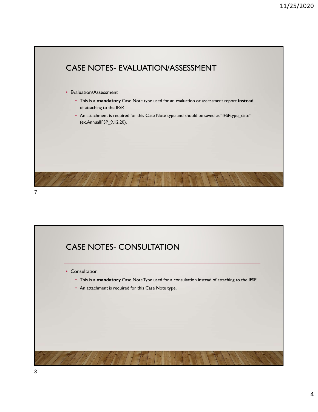



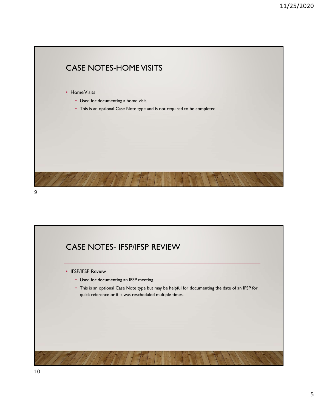

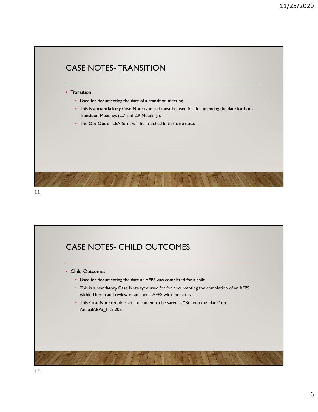

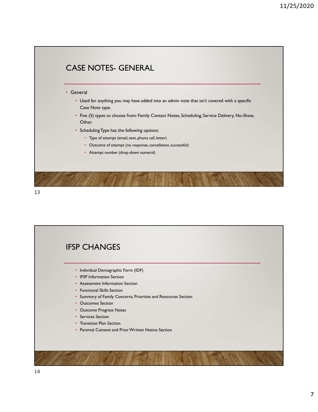

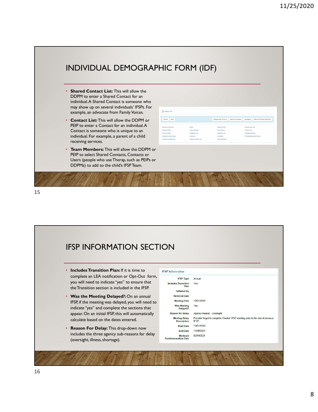

### IFSP INFORMATION SECTION • Includes Transition Plan: If it is time to **IFSP Information** complete an LEA notification or Opt-Out form, you will need to indicate "yes" to ensure that **Includes Transition** Plan the Transition section is included in the IFSP. Referred By **Was the Meeting Delayed?:** On an annual Referred Date<br>IFSP if the meeting was delayed you will need to Meeting Date 12/01/2020 **IFSP, if the meeting was delayed, you will need to**  $\frac{\text{Meeting Date}}{\text{Was}_\text{long leaf}}$   $\frac{270}{\text{Yes} + \text{neting} + \text{Yes}}$  and complete the sections that indicate "yes" and complete the sections that appear. On an initial IFSP, this will automatically and the season for Delay Agency Reason - Oversight Calculate based on the dates entered.<br>
Description IFSP. calculate based on the dates entered. **Reason For Delay:** This drop-down now start Date 12/01/2020<br>End Date 11/30/2021 includes the three agency sub-reasons for delay (oversight, illness, shortage).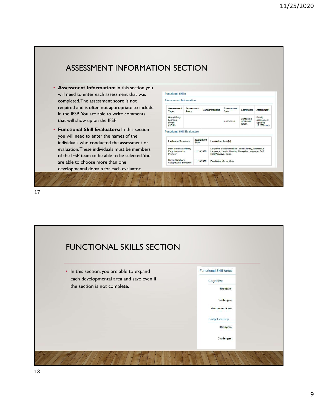| <b>Assessment Information:</b> In this section you<br>will need to enter each assessment that was | <b>Functional Skills</b>                                        |                                   |                                     |                           |                                                                                                                |                                          |                                                 |  |
|---------------------------------------------------------------------------------------------------|-----------------------------------------------------------------|-----------------------------------|-------------------------------------|---------------------------|----------------------------------------------------------------------------------------------------------------|------------------------------------------|-------------------------------------------------|--|
| completed. The assessment score is not                                                            | <b>Assessment Information</b>                                   |                                   |                                     |                           |                                                                                                                |                                          |                                                 |  |
| required and is often not appropriate to include<br>in the IFSP. You are able to write comments   | <b>Assessment</b><br>Type                                       | <b>Assessment</b><br><b>Score</b> |                                     | <b>Band/Percentile</b>    | <b>Assessment</b><br>Date                                                                                      | <b>Comments</b>                          | Attachment                                      |  |
| that will show up on the IFSP.                                                                    | Hawaii Early<br>Learning<br>Profile<br>(HELP)                   |                                   |                                     |                           | 11/25/2020                                                                                                     | Conducted<br><b>HELP with</b><br>family. | Family<br>Assessment<br>Updated<br>10.2020.docx |  |
| <b>Functional Skill Evaluators:</b> In this section<br>$\bullet$                                  | <b>Functional Skill Evaluators</b>                              |                                   |                                     |                           |                                                                                                                |                                          |                                                 |  |
| you will need to enter the names of the<br>individuals who conducted the assessment or            | <b>Evaluator/Assessor</b>                                       | Date                              | Evaluation                          | <b>Evaluation Area(s)</b> |                                                                                                                |                                          |                                                 |  |
| evaluation. These individuals must be members<br>of the IFSP team to be able to be selected. You  | Mark Morales / Primary<br><b>Early Intervention</b><br>Provider |                                   | 11/18/2020<br>Help/Adaptive, Vision |                           | Cognitive, Social/Emotional, Early Literacy, Expressive<br>Language, Health, Hearing, Receptive Language, Self |                                          |                                                 |  |
| are able to choose more than one                                                                  | Susan Sanchez /<br>Occupational Therapist                       |                                   | 11/18/2020                          | Fine Motor, Gross Motor   |                                                                                                                |                                          |                                                 |  |
| developmental domain for each evaluator.                                                          |                                                                 |                                   |                                     |                           |                                                                                                                |                                          |                                                 |  |

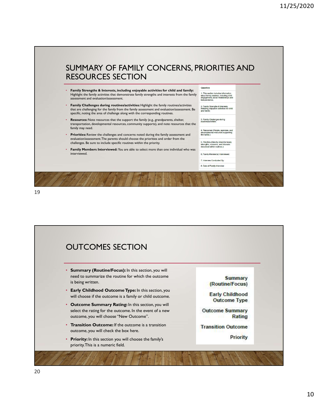# SUMMARY OF FAMILY CONCERNS, PRIORITIES AND RESOURCES SECTION

- Family Strengths & Interests, including enjoyable activities for child and family: Highlight the family activities that demonstrate family strengths and interests from the family about the district in assessment and evaluation/assessment.
- Family Challenges during routines/activities: Highlight the family routines/activities that are challenging for the family from the family assessment and evaluation/assessment. Be specific, noting the area of challenge along with the corresponding routines.
- **Resources:** Note resources that the support the family (e.g., grandparents, shelter,  $\frac{3. \text{ Family Challenges during } }{ \text{routineed.}}$ transportation, developmental resources, community supports), and note resources that the family may need.
- Farmity Thay Heed.<br>• Priorities: Review the challenges and concerns noted during the family assessment and the family: The concess supporting evaluation/assessment. The parents should choose the priorities and order from the<br>challenges. Be sure to include specific routines within the priority.<br>described within routines, concerns, and interests<br>described within r challenges. Be sure to include specific routines within the priority.
- Family Members Interviewed: You are able to select more than one individual who was interviewed.

- 
- 6. Family Member(s) Interviewed:
- 7. Interview Conducted By
- 8. Date of Family Interview

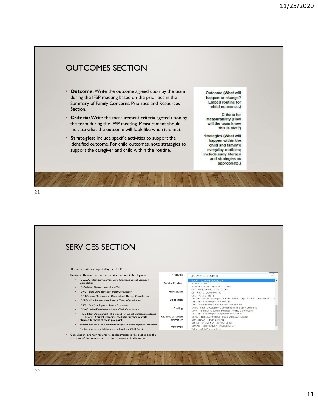

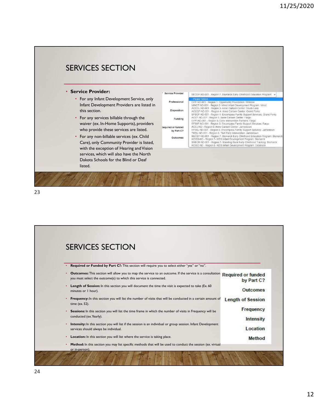

|           | <b>SERVICES SECTION</b>                                                                                                                                                                           |                          |
|-----------|---------------------------------------------------------------------------------------------------------------------------------------------------------------------------------------------------|--------------------------|
|           |                                                                                                                                                                                                   |                          |
|           | Required or Funded by Part C?: This section will require you to select either "yes" or "no".                                                                                                      |                          |
| $\bullet$ | Outcomes: This section will allow you to map the service to an outcome. If the service is a consultation Required or funded<br>you must select the outcome(s) to which this service is connected. | by Part C?               |
| $\bullet$ | Length of Session: In this section you will document the time the visit is expected to take (Ex. 60<br>minutes or I hour).                                                                        | Outcomes                 |
|           | <b>Frequency:</b> In this section you will list the number of visits that will be conducted in a certain amount of<br>time (ex. 52).                                                              | <b>Length of Session</b> |
| ٠         | Sessions: In this section you will list the time frame in which the number of visits in Frequency will be<br>conducted (ex. Yearly).                                                              | Frequency                |
|           | <b>Intensity:</b> In this section you will list if the session is an individual or group session. Infant Development<br>services should always be individual.                                     | Intensity<br>Location    |
| ٠         | Location: In this section you will list where the service is taking place.                                                                                                                        | Method                   |
|           | Method: In this section you may list specific methods that will be used to conduct the session (ex. virtual<br>or in-person).                                                                     |                          |
|           |                                                                                                                                                                                                   |                          |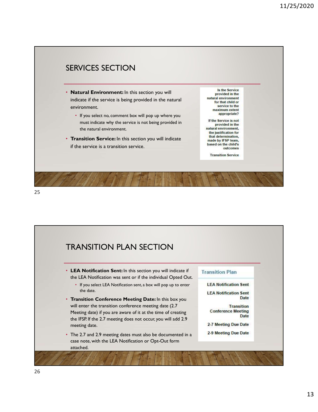

25 and 25 and 25 and 25 and 25 and 25 and 25 and 26 and 26 and 26 and 26 and 26 and 26 and 26 and 26 and 26 an

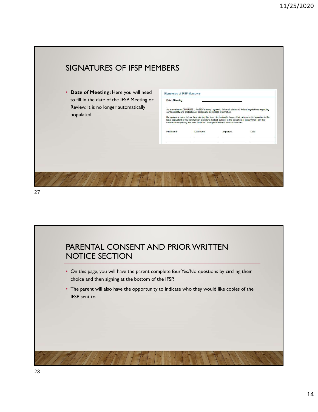



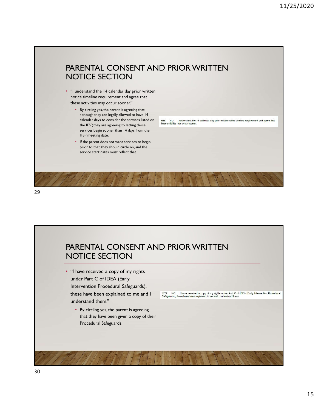# PARENTAL CONSENT AND PRIOR WRITTEN NOTICE SECTION

- "I understand the 14 calendar day prior written notice timeline requirement and agree that these activities may occur sooner."
	- By circling yes, the parent is agreeing that, although they are legally allowed to have 14 the IFSP, they are agreeing to letting those services begin sooner than 14 days from the IFSP meeting date.
	- If the parent does not want services to begin prior to that, they should circle no, and the service start dates must reflect that.

calendar days to consider the services listed on <br>these activities may occur somer.<br>the IFSP they are agree inst the left ing those integrativities may occur somer.

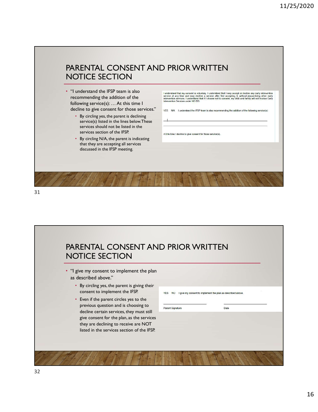## PARENTAL CONSENT AND PRIOR WRITTEN NOTICE SECTION

- recommending the addition of the following service(s): … At this time I decline to give consent for those services." THE NIA I understand the IFSP team is also recommending the addition of the following service(s):
	- By circling yes, the parent is declining service(s) listed in the lines below. These services should not be listed in the services section of the IFSP.
	- By circling N/A, the parent is indicating that they are accepting all services discussed in the IFSP meeting.

• "I understand the IFSP team is also service at any time and may decline a service atle and that I may accept or decline any early intervention service at any time and may decline a service after first accepting it, witho

At this time I decline to give consent for those service(s).

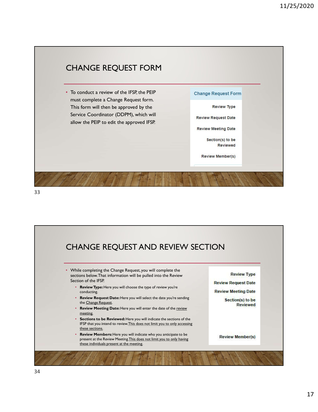



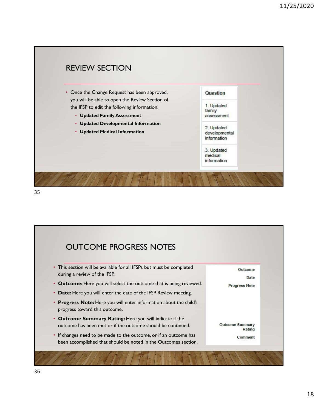